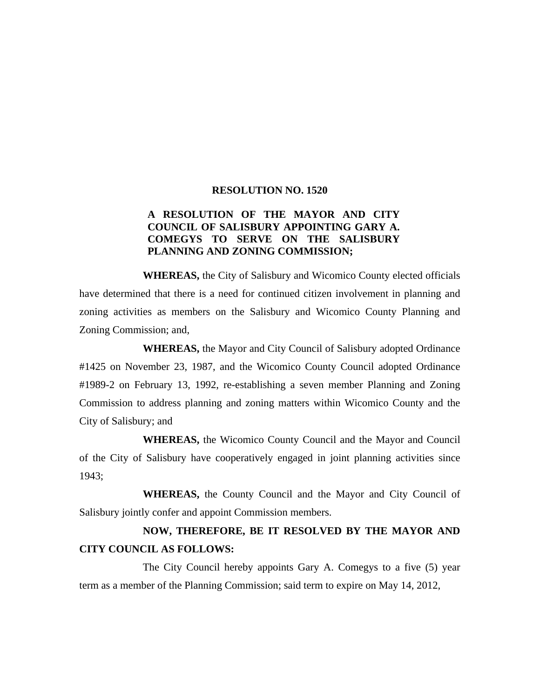## **RESOLUTION NO. 1520**

## **A RESOLUTION OF THE MAYOR AND CITY COUNCIL OF SALISBURY APPOINTING GARY A. COMEGYS TO SERVE ON THE SALISBURY PLANNING AND ZONING COMMISSION;**

 **WHEREAS,** the City of Salisbury and Wicomico County elected officials have determined that there is a need for continued citizen involvement in planning and zoning activities as members on the Salisbury and Wicomico County Planning and Zoning Commission; and,

 **WHEREAS,** the Mayor and City Council of Salisbury adopted Ordinance #1425 on November 23, 1987, and the Wicomico County Council adopted Ordinance #1989-2 on February 13, 1992, re-establishing a seven member Planning and Zoning Commission to address planning and zoning matters within Wicomico County and the City of Salisbury; and

 **WHEREAS,** the Wicomico County Council and the Mayor and Council of the City of Salisbury have cooperatively engaged in joint planning activities since 1943;

 **WHEREAS,** the County Council and the Mayor and City Council of Salisbury jointly confer and appoint Commission members.

## **NOW, THEREFORE, BE IT RESOLVED BY THE MAYOR AND CITY COUNCIL AS FOLLOWS:**

The City Council hereby appoints Gary A. Comegys to a five (5) year term as a member of the Planning Commission; said term to expire on May 14, 2012,